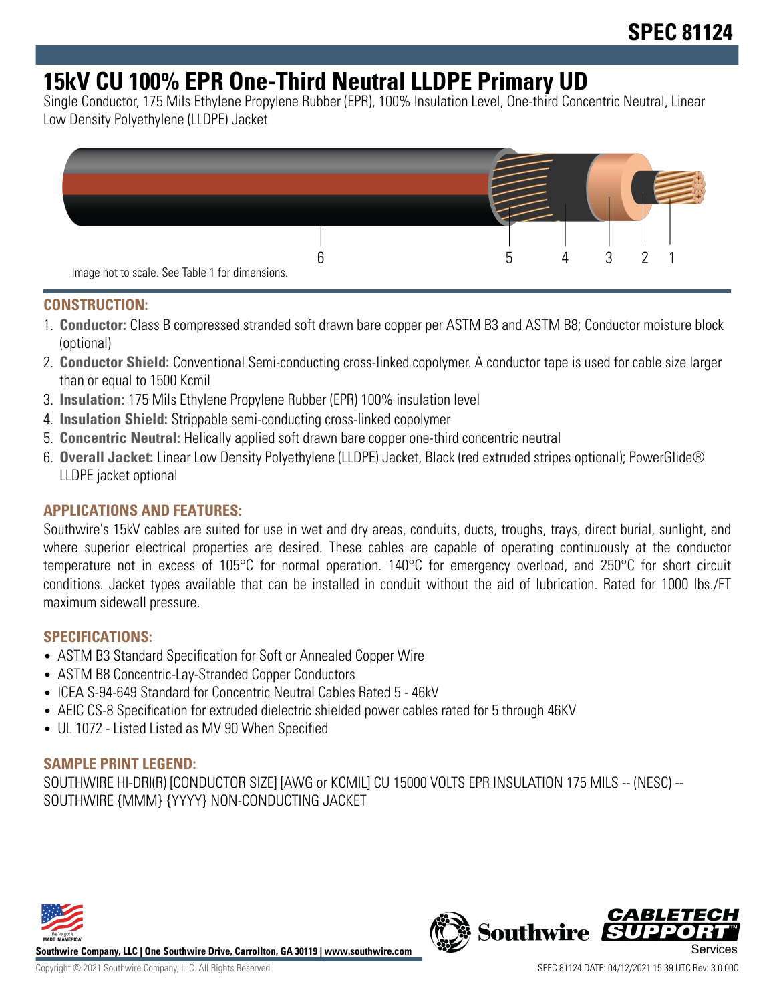# **15kV CU 100% EPR One-Third Neutral LLDPE Primary UD**

Single Conductor, 175 Mils Ethylene Propylene Rubber (EPR), 100% Insulation Level, One-third Concentric Neutral, Linear Low Density Polyethylene (LLDPE) Jacket



### **CONSTRUCTION:**

- 1. **Conductor:** Class B compressed stranded soft drawn bare copper per ASTM B3 and ASTM B8; Conductor moisture block (optional)
- 2. **Conductor Shield:** Conventional Semi-conducting cross-linked copolymer. A conductor tape is used for cable size larger than or equal to 1500 Kcmil
- 3. **Insulation:** 175 Mils Ethylene Propylene Rubber (EPR) 100% insulation level
- 4. **Insulation Shield:** Strippable semi-conducting cross-linked copolymer
- 5. **Concentric Neutral:** Helically applied soft drawn bare copper one-third concentric neutral
- 6. **Overall Jacket:** Linear Low Density Polyethylene (LLDPE) Jacket, Black (red extruded stripes optional); PowerGlide® LLDPE jacket optional

### **APPLICATIONS AND FEATURES:**

Southwire's 15kV cables are suited for use in wet and dry areas, conduits, ducts, troughs, trays, direct burial, sunlight, and where superior electrical properties are desired. These cables are capable of operating continuously at the conductor temperature not in excess of 105°C for normal operation. 140°C for emergency overload, and 250°C for short circuit conditions. Jacket types available that can be installed in conduit without the aid of lubrication. Rated for 1000 lbs./FT maximum sidewall pressure.

#### **SPECIFICATIONS:**

- ASTM B3 Standard Specification for Soft or Annealed Copper Wire
- ASTM B8 Concentric-Lay-Stranded Copper Conductors
- ICEA S-94-649 Standard for Concentric Neutral Cables Rated 5 46kV
- AEIC CS-8 Specification for extruded dielectric shielded power cables rated for 5 through 46KV
- UL 1072 Listed Listed as MV 90 When Specified

#### **SAMPLE PRINT LEGEND:**

SOUTHWIRE HI-DRI(R) [CONDUCTOR SIZE] [AWG or KCMIL] CU 15000 VOLTS EPR INSULATION 175 MILS -- (NESC) -- SOUTHWIRE {MMM} {YYYY} NON-CONDUCTING JACKET



**Southwire Company, LLC | One Southwire Drive, Carrollton, GA 30119 | www.southwire.com**

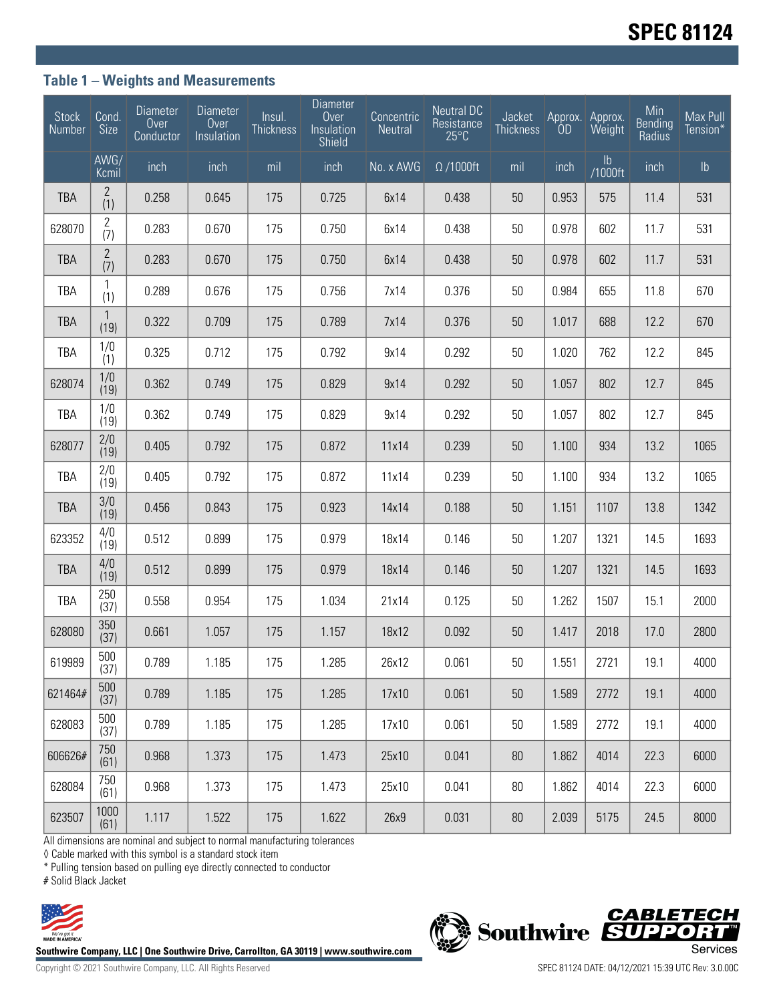### **Table 1 – Weights and Measurements**

| Stock<br>Number | Cond.<br>Size         | <b>Diameter</b><br>Over<br>Conductor | <b>Diameter</b><br>Over<br>Insulation | Insul.<br>Thickness | <b>Diameter</b><br>Over<br>Insulation<br><b>Shield</b> | Concentric<br>Neutral | <b>Neutral DC</b><br>Resistance<br>$25^{\circ}$ C | Jacket<br><b>Thickness</b> | Approx.<br>ÒD | Approx.<br>Weight        | Min<br><b>Bending</b><br>Radius | Max Pull<br>Tension* |
|-----------------|-----------------------|--------------------------------------|---------------------------------------|---------------------|--------------------------------------------------------|-----------------------|---------------------------------------------------|----------------------------|---------------|--------------------------|---------------------------------|----------------------|
|                 | AWG/<br>Kcmil         | inch                                 | inch                                  | mil                 | inch                                                   | No. x AWG             | $\Omega/1000$ ft                                  | mil                        | inch          | $\mathsf{lb}$<br>/1000ft | inch                            | $\mathsf{lb}$        |
| <b>TBA</b>      | $\mathbf{2}$<br>(1)   | 0.258                                | 0.645                                 | 175                 | 0.725                                                  | 6x14                  | 0.438                                             | 50                         | 0.953         | 575                      | 11.4                            | 531                  |
| 628070          | $\overline{2}$<br>(7) | 0.283                                | 0.670                                 | 175                 | 0.750                                                  | 6x14                  | 0.438                                             | 50                         | 0.978         | 602                      | 11.7                            | 531                  |
| <b>TBA</b>      | $\mathbf{2}$<br>(7)   | 0.283                                | 0.670                                 | 175                 | 0.750                                                  | 6x14                  | 0.438                                             | 50                         | 0.978         | 602                      | 11.7                            | 531                  |
| TBA             | 1<br>(1)              | 0.289                                | 0.676                                 | 175                 | 0.756                                                  | 7x14                  | 0.376                                             | 50                         | 0.984         | 655                      | 11.8                            | 670                  |
| <b>TBA</b>      | $\mathbf{1}$<br>(19)  | 0.322                                | 0.709                                 | 175                 | 0.789                                                  | 7x14                  | 0.376                                             | 50                         | 1.017         | 688                      | 12.2                            | 670                  |
| TBA             | 1/0<br>(1)            | 0.325                                | 0.712                                 | 175                 | 0.792                                                  | 9x14                  | 0.292                                             | 50                         | 1.020         | 762                      | 12.2                            | 845                  |
| 628074          | 1/0<br>(19)           | 0.362                                | 0.749                                 | 175                 | 0.829                                                  | 9x14                  | 0.292                                             | 50                         | 1.057         | 802                      | 12.7                            | 845                  |
| TBA             | 1/0<br>(19)           | 0.362                                | 0.749                                 | 175                 | 0.829                                                  | 9x14                  | 0.292                                             | 50                         | 1.057         | 802                      | 12.7                            | 845                  |
| 628077          | 2/0<br>(19)           | 0.405                                | 0.792                                 | 175                 | 0.872                                                  | 11x14                 | 0.239                                             | 50                         | 1.100         | 934                      | 13.2                            | 1065                 |
| <b>TBA</b>      | 2/0<br>(19)           | 0.405                                | 0.792                                 | 175                 | 0.872                                                  | 11x14                 | 0.239                                             | 50                         | 1.100         | 934                      | 13.2                            | 1065                 |
| <b>TBA</b>      | 3/0<br>(19)           | 0.456                                | 0.843                                 | 175                 | 0.923                                                  | 14x14                 | 0.188                                             | 50                         | 1.151         | 1107                     | 13.8                            | 1342                 |
| 623352          | 4/0<br>(19)           | 0.512                                | 0.899                                 | 175                 | 0.979                                                  | 18x14                 | 0.146                                             | 50                         | 1.207         | 1321                     | 14.5                            | 1693                 |
| <b>TBA</b>      | 4/0<br>(19)           | 0.512                                | 0.899                                 | 175                 | 0.979                                                  | 18x14                 | 0.146                                             | 50                         | 1.207         | 1321                     | 14.5                            | 1693                 |
| <b>TBA</b>      | 250<br>(37)           | 0.558                                | 0.954                                 | 175                 | 1.034                                                  | 21x14                 | 0.125                                             | 50                         | 1.262         | 1507                     | 15.1                            | 2000                 |
| 628080          | 350<br>(37)           | 0.661                                | 1.057                                 | 175                 | 1.157                                                  | 18x12                 | 0.092                                             | 50                         | 1.417         | 2018                     | 17.0                            | 2800                 |
| 619989          | 500<br>(37)           | 0.789                                | 1.185                                 | 175                 | 1.285                                                  | 26x12                 | 0.061                                             | $50\,$                     | 1.551         | 2721                     | 19.1                            | 4000                 |
| 621464#         | 500<br>(37)           | 0.789                                | 1.185                                 | 175                 | 1.285                                                  | 17x10                 | 0.061                                             | 50                         | 1.589         | 2772                     | 19.1                            | 4000                 |
| 628083          | 500<br>(37)           | 0.789                                | 1.185                                 | 175                 | 1.285                                                  | 17x10                 | 0.061                                             | 50                         | 1.589         | 2772                     | 19.1                            | 4000                 |
| 606626#         | 750<br>(61)           | 0.968                                | 1.373                                 | 175                 | 1.473                                                  | 25x10                 | 0.041                                             | 80                         | 1.862         | 4014                     | 22.3                            | 6000                 |
| 628084          | 750<br>(61)           | 0.968                                | 1.373                                 | 175                 | 1.473                                                  | 25x10                 | 0.041                                             | 80                         | 1.862         | 4014                     | 22.3                            | 6000                 |
| 623507          | 1000<br>(61)          | 1.117                                | 1.522                                 | 175                 | 1.622                                                  | 26x9                  | 0.031                                             | $80\,$                     | 2.039         | 5175                     | 24.5                            | 8000                 |

All dimensions are nominal and subject to normal manufacturing tolerances

◊ Cable marked with this symbol is a standard stock item

\* Pulling tension based on pulling eye directly connected to conductor

# Solid Black Jacket



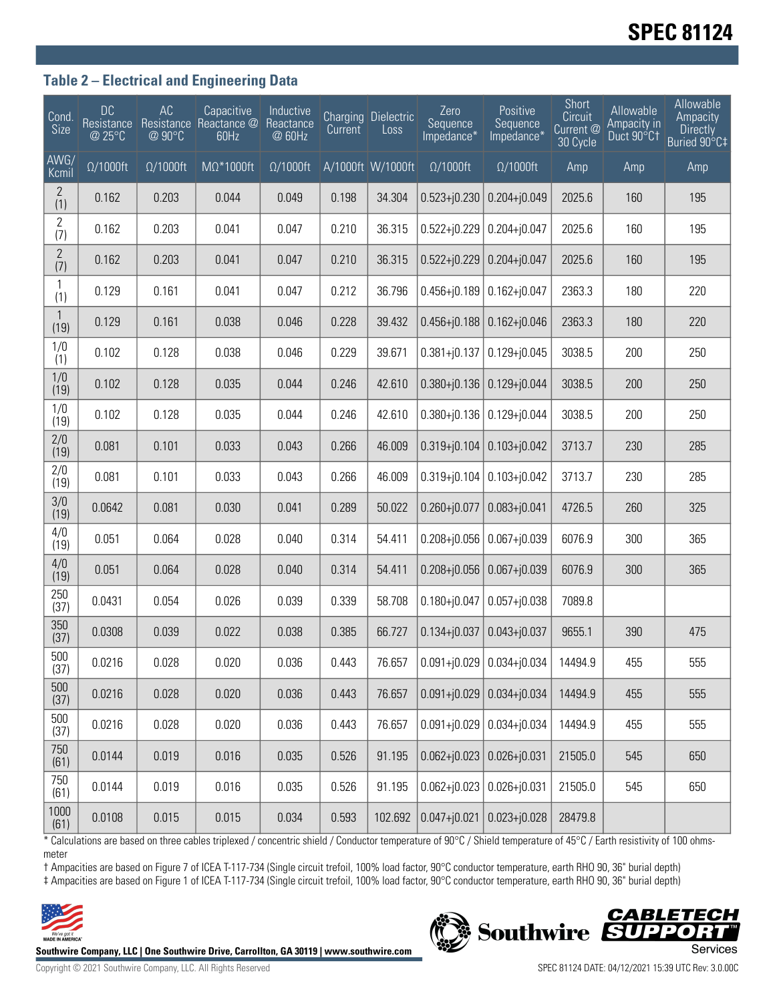# **SPEC 81124**

### **Table 2 – Electrical and Engineering Data**

| Cond.<br>Size         | <b>DC</b><br>Resistance<br>@ 25°C | AC<br>@ 90°C     | Capacitive<br>Resistance Reactance @<br>60Hz | Inductive<br>Reactance<br>@ 60Hz | Current | <b>Charging Dielectric</b><br>Loss | Zero<br>Sequence<br>Impedance* | Positive<br>Sequence<br>Impedance* | Short<br>Circuit<br>Current @<br>30 Cycle | <b>Allowable</b><br>Ampacity in<br>Duct 90°C1 | Allowable<br>Ampacity<br><b>Directly</b><br>Buried 90°C‡ |
|-----------------------|-----------------------------------|------------------|----------------------------------------------|----------------------------------|---------|------------------------------------|--------------------------------|------------------------------------|-------------------------------------------|-----------------------------------------------|----------------------------------------------------------|
| AWG/<br>Kcmil         | $\Omega/1000$ ft                  | $\Omega/1000$ ft | $M\Omega^*1000$ ft                           | $\Omega/1000$ ft                 |         | A/1000ft W/1000ft                  | $\Omega/1000$ ft               | $\Omega/1000$ ft                   | Amp                                       | Amp                                           | Amp                                                      |
| $\overline{2}$<br>(1) | 0.162                             | 0.203            | 0.044                                        | 0.049                            | 0.198   | 34.304                             | $0.523 + j0.230$               | $0.204 + j0.049$                   | 2025.6                                    | 160                                           | 195                                                      |
| $\overline{2}$<br>(7) | 0.162                             | 0.203            | 0.041                                        | 0.047                            | 0.210   | 36.315                             | $0.522 + j0.229$               | $0.204 + j0.047$                   | 2025.6                                    | 160                                           | 195                                                      |
| $\frac{2}{(7)}$       | 0.162                             | 0.203            | 0.041                                        | 0.047                            | 0.210   | 36.315                             | $0.522 + j0.229$               | $0.204 + j0.047$                   | 2025.6                                    | 160                                           | 195                                                      |
| 1<br>(1)              | 0.129                             | 0.161            | 0.041                                        | 0.047                            | 0.212   | 36.796                             | $0.456 + j0.189$               | $0.162 + j0.047$                   | 2363.3                                    | 180                                           | 220                                                      |
| $\mathbf{1}$<br>(19)  | 0.129                             | 0.161            | 0.038                                        | 0.046                            | 0.228   | 39.432                             | $0.456 + j0.188$               | $0.162 + j0.046$                   | 2363.3                                    | 180                                           | 220                                                      |
| 1/0<br>(1)            | 0.102                             | 0.128            | 0.038                                        | 0.046                            | 0.229   | 39.671                             | $0.381 + j0.137$               | $0.129 + j0.045$                   | 3038.5                                    | 200                                           | 250                                                      |
| 1/0<br>(19)           | 0.102                             | 0.128            | 0.035                                        | 0.044                            | 0.246   | 42.610                             | $0.380 + j0.136$               | $0.129 + j0.044$                   | 3038.5                                    | 200                                           | 250                                                      |
| 1/0<br>(19)           | 0.102                             | 0.128            | 0.035                                        | 0.044                            | 0.246   | 42.610                             | $0.380 + j0.136$               | $0.129 + j0.044$                   | 3038.5                                    | 200                                           | 250                                                      |
| 2/0<br>(19)           | 0.081                             | 0.101            | 0.033                                        | 0.043                            | 0.266   | 46.009                             | $0.319 + j0.104$               | $0.103 + j0.042$                   | 3713.7                                    | 230                                           | 285                                                      |
| 2/0<br>(19)           | 0.081                             | 0.101            | 0.033                                        | 0.043                            | 0.266   | 46.009                             | $0.319 + j0.104$               | $0.103 + j0.042$                   | 3713.7                                    | 230                                           | 285                                                      |
| 3/0<br>(19)           | 0.0642                            | 0.081            | 0.030                                        | 0.041                            | 0.289   | 50.022                             | $0.260 + j0.077$               | $0.083 + j0.041$                   | 4726.5                                    | 260                                           | 325                                                      |
| 4/0<br>(19)           | 0.051                             | 0.064            | 0.028                                        | 0.040                            | 0.314   | 54.411                             | $0.208 + j0.056$               | $0.067 + j0.039$                   | 6076.9                                    | 300                                           | 365                                                      |
| 4/0<br>(19)           | 0.051                             | 0.064            | 0.028                                        | 0.040                            | 0.314   | 54.411                             | $0.208 + j0.056$               | $0.067 + j0.039$                   | 6076.9                                    | 300                                           | 365                                                      |
| 250<br>(37)           | 0.0431                            | 0.054            | 0.026                                        | 0.039                            | 0.339   | 58.708                             | $0.180 + j0.047$               | $0.057 + j0.038$                   | 7089.8                                    |                                               |                                                          |
| 350<br>(37)           | 0.0308                            | 0.039            | 0.022                                        | 0.038                            | 0.385   | 66.727                             | $0.134 + j0.037$               | $0.043 + j0.037$                   | 9655.1                                    | 390                                           | 475                                                      |
| 500<br>(37)           | 0.0216                            | 0.028            | 0.020                                        | 0.036                            | 0.443   | 76.657                             |                                | $0.091 + j0.029$ 0.034+j0.034      | 14494.9                                   | 455                                           | 555                                                      |
| 500<br>(37)           | 0.0216                            | 0.028            | 0.020                                        | 0.036                            | 0.443   | 76.657                             | $0.091 + 0.029$                | $0.034 + j0.034$                   | 14494.9                                   | 455                                           | 555                                                      |
| 500<br>(37)           | 0.0216                            | 0.028            | 0.020                                        | 0.036                            | 0.443   | 76.657                             | $0.091 + 0.029$                | $0.034 + j0.034$                   | 14494.9                                   | 455                                           | 555                                                      |
| 750<br>(61)           | 0.0144                            | 0.019            | 0.016                                        | 0.035                            | 0.526   | 91.195                             | $0.062 + j0.023$               | $0.026 + j0.031$                   | 21505.0                                   | 545                                           | 650                                                      |
| 750<br>(61)           | 0.0144                            | 0.019            | 0.016                                        | 0.035                            | 0.526   | 91.195                             | $0.062 + j0.023$               | $0.026 + j0.031$                   | 21505.0                                   | 545                                           | 650                                                      |
| 1000<br>(61)          | 0.0108                            | 0.015            | 0.015                                        | 0.034                            | 0.593   | 102.692                            | $0.047 + j0.021$               | $0.023 + j0.028$                   | 28479.8                                   |                                               |                                                          |

\* Calculations are based on three cables triplexed / concentric shield / Conductor temperature of 90°C / Shield temperature of 45°C / Earth resistivity of 100 ohmsmeter

† Ampacities are based on Figure 7 of ICEA T-117-734 (Single circuit trefoil, 100% load factor, 90°C conductor temperature, earth RHO 90, 36" burial depth) ‡ Ampacities are based on Figure 1 of ICEA T-117-734 (Single circuit trefoil, 100% load factor, 90°C conductor temperature, earth RHO 90, 36" burial depth)



Southwire Company, LLC | One Southwire Drive, Carrollton, GA 30119 | www.southwire.com **Second Company Services** 

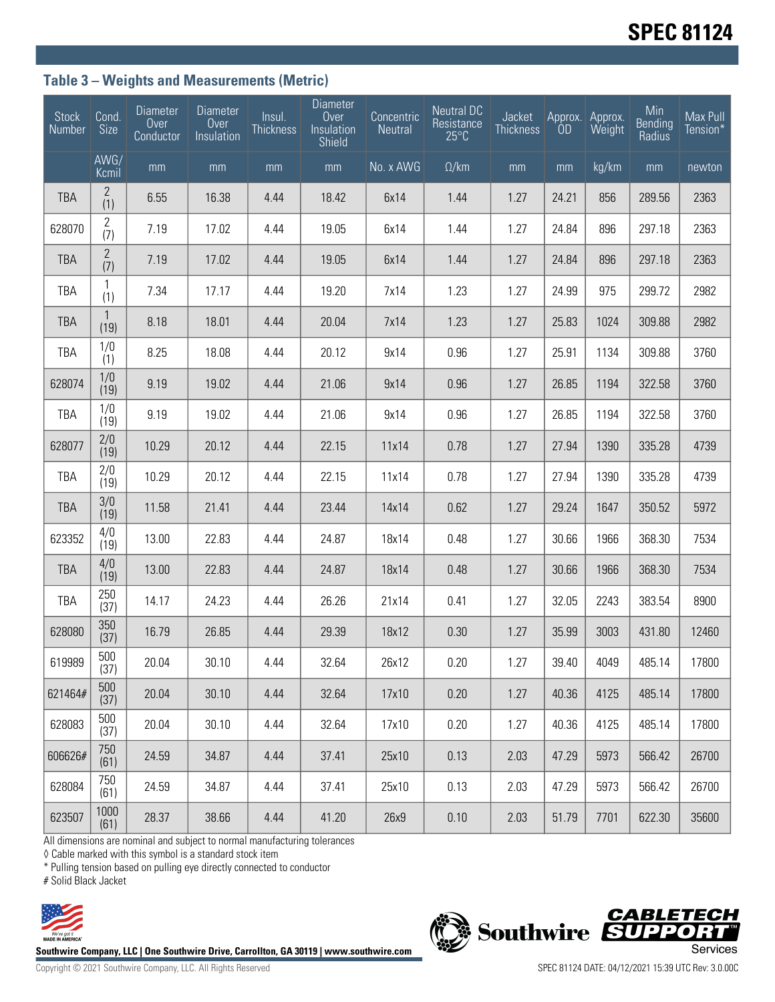## **Table 3 – Weights and Measurements (Metric)**

| <b>Stock</b><br>Number | Cond.<br>Size        | <b>Diameter</b><br>Over<br>Conductor | <b>Diameter</b><br>Over<br>Insulation | Insul.<br><b>Thickness</b> | <b>Diameter</b><br>Over<br>Insulation<br>Shield | Concentric<br>Neutral | <b>Neutral DC</b><br>Resistance<br>$25^{\circ}$ C | Jacket<br><b>Thickness</b> | ÒD    | Approx. Approx.<br>Weight | Min<br>Bending<br>Radius | Max Pull<br>Tension* |
|------------------------|----------------------|--------------------------------------|---------------------------------------|----------------------------|-------------------------------------------------|-----------------------|---------------------------------------------------|----------------------------|-------|---------------------------|--------------------------|----------------------|
|                        | AWG/<br>Kcmil        | mm                                   | mm                                    | mm                         | mm                                              | No. x AWG             | $\Omega$ /km                                      | mm                         | mm    | kg/km                     | mm                       | newton               |
| <b>TBA</b>             | 2<br>(1)             | 6.55                                 | 16.38                                 | 4.44                       | 18.42                                           | 6x14                  | 1.44                                              | 1.27                       | 24.21 | 856                       | 289.56                   | 2363                 |
| 628070                 | 2<br>(7)             | 7.19                                 | 17.02                                 | 4.44                       | 19.05                                           | 6x14                  | 1.44                                              | 1.27                       | 24.84 | 896                       | 297.18                   | 2363                 |
| <b>TBA</b>             | $\mathbf{2}$<br>(7)  | 7.19                                 | 17.02                                 | 4.44                       | 19.05                                           | 6x14                  | 1.44                                              | 1.27                       | 24.84 | 896                       | 297.18                   | 2363                 |
| TBA                    | 1<br>(1)             | 7.34                                 | 17.17                                 | 4.44                       | 19.20                                           | 7x14                  | 1.23                                              | 1.27                       | 24.99 | 975                       | 299.72                   | 2982                 |
| <b>TBA</b>             | $\mathbf{1}$<br>(19) | 8.18                                 | 18.01                                 | 4.44                       | 20.04                                           | 7x14                  | 1.23                                              | 1.27                       | 25.83 | 1024                      | 309.88                   | 2982                 |
| <b>TBA</b>             | 1/0<br>(1)           | 8.25                                 | 18.08                                 | 4.44                       | 20.12                                           | 9x14                  | 0.96                                              | 1.27                       | 25.91 | 1134                      | 309.88                   | 3760                 |
| 628074                 | 1/0<br>(19)          | 9.19                                 | 19.02                                 | 4.44                       | 21.06                                           | 9x14                  | 0.96                                              | 1.27                       | 26.85 | 1194                      | 322.58                   | 3760                 |
| TBA                    | 1/0<br>(19)          | 9.19                                 | 19.02                                 | 4.44                       | 21.06                                           | 9x14                  | 0.96                                              | 1.27                       | 26.85 | 1194                      | 322.58                   | 3760                 |
| 628077                 | 2/0<br>(19)          | 10.29                                | 20.12                                 | 4.44                       | 22.15                                           | 11x14                 | 0.78                                              | 1.27                       | 27.94 | 1390                      | 335.28                   | 4739                 |
| TBA                    | 2/0<br>(19)          | 10.29                                | 20.12                                 | 4.44                       | 22.15                                           | 11x14                 | 0.78                                              | 1.27                       | 27.94 | 1390                      | 335.28                   | 4739                 |
| <b>TBA</b>             | 3/0<br>(19)          | 11.58                                | 21.41                                 | 4.44                       | 23.44                                           | 14x14                 | 0.62                                              | 1.27                       | 29.24 | 1647                      | 350.52                   | 5972                 |
| 623352                 | 4/0<br>(19)          | 13.00                                | 22.83                                 | 4.44                       | 24.87                                           | 18x14                 | 0.48                                              | 1.27                       | 30.66 | 1966                      | 368.30                   | 7534                 |
| <b>TBA</b>             | 4/0<br>(19)          | 13.00                                | 22.83                                 | 4.44                       | 24.87                                           | 18x14                 | 0.48                                              | 1.27                       | 30.66 | 1966                      | 368.30                   | 7534                 |
| <b>TBA</b>             | 250<br>(37)          | 14.17                                | 24.23                                 | 4.44                       | 26.26                                           | 21x14                 | 0.41                                              | 1.27                       | 32.05 | 2243                      | 383.54                   | 8900                 |
| 628080                 | 350<br>(37)          | 16.79                                | 26.85                                 | 4.44                       | 29.39                                           | 18x12                 | 0.30                                              | 1.27                       | 35.99 | 3003                      | 431.80                   | 12460                |
| 619989                 | 500<br>(37)          | 20.04                                | 30.10                                 | 4.44                       | 32.64                                           | 26x12                 | 0.20                                              | 1.27                       | 39.40 | 4049                      | 485.14                   | 17800                |
| 621464#                | 500<br>(37)          | 20.04                                | 30.10                                 | 4.44                       | 32.64                                           | 17x10                 | 0.20                                              | 1.27                       | 40.36 | 4125                      | 485.14                   | 17800                |
| 628083                 | 500<br>(37)          | 20.04                                | 30.10                                 | 4.44                       | 32.64                                           | 17x10                 | 0.20                                              | 1.27                       | 40.36 | 4125                      | 485.14                   | 17800                |
| 606626#                | 750<br>(61)          | 24.59                                | 34.87                                 | 4.44                       | 37.41                                           | 25x10                 | 0.13                                              | 2.03                       | 47.29 | 5973                      | 566.42                   | 26700                |
| 628084                 | 750<br>(61)          | 24.59                                | 34.87                                 | 4.44                       | 37.41                                           | 25x10                 | 0.13                                              | 2.03                       | 47.29 | 5973                      | 566.42                   | 26700                |
| 623507                 | 1000<br>(61)         | 28.37                                | 38.66                                 | 4.44                       | 41.20                                           | 26x9                  | 0.10                                              | 2.03                       | 51.79 | 7701                      | 622.30                   | 35600                |

All dimensions are nominal and subject to normal manufacturing tolerances

◊ Cable marked with this symbol is a standard stock item

\* Pulling tension based on pulling eye directly connected to conductor

# Solid Black Jacket





Copyright © 2021 Southwire Company, LLC. All Rights Reserved SPEC 81124 DATE: 04/12/2021 15:39 UTC Rev: 3.0.00C